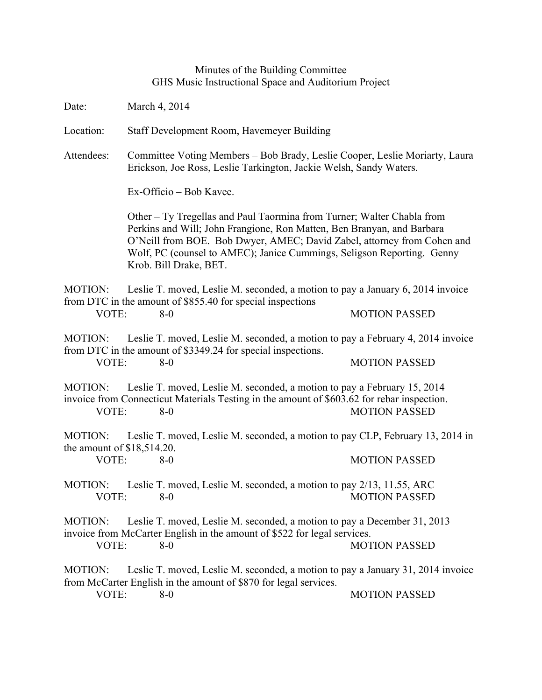## Minutes of the Building Committee GHS Music Instructional Space and Auditorium Project

Date: March 4, 2014

Location: Staff Development Room, Havemeyer Building

Attendees: Committee Voting Members – Bob Brady, Leslie Cooper, Leslie Moriarty, Laura Erickson, Joe Ross, Leslie Tarkington, Jackie Welsh, Sandy Waters.

Ex-Officio – Bob Kavee.

Other – Ty Tregellas and Paul Taormina from Turner; Walter Chabla from Perkins and Will; John Frangione, Ron Matten, Ben Branyan, and Barbara O'Neill from BOE. Bob Dwyer, AMEC; David Zabel, attorney from Cohen and Wolf, PC (counsel to AMEC); Janice Cummings, Seligson Reporting. Genny Krob. Bill Drake, BET.

MOTION: Leslie T. moved, Leslie M. seconded, a motion to pay a January 6, 2014 invoice from DTC in the amount of \$855.40 for special inspections VOTE: 8-0 MOTION PASSED

MOTION: Leslie T. moved, Leslie M. seconded, a motion to pay a February 4, 2014 invoice from DTC in the amount of \$3349.24 for special inspections. VOTE: 8-0 MOTION PASSED

MOTION: Leslie T. moved, Leslie M. seconded, a motion to pay a February 15, 2014 invoice from Connecticut Materials Testing in the amount of \$603.62 for rebar inspection. VOTE: 8-0 MOTION PASSED

MOTION: Leslie T. moved, Leslie M. seconded, a motion to pay CLP, February 13, 2014 in the amount of \$18,514.20. VOTE: 8-0 MOTION PASSED

MOTION: Leslie T. moved, Leslie M. seconded, a motion to pay 2/13, 11.55, ARC VOTE: 8-0 MOTION PASSED

MOTION: Leslie T. moved, Leslie M. seconded, a motion to pay a December 31, 2013 invoice from McCarter English in the amount of \$522 for legal services.

VOTE: 8-0 8-0 MOTION PASSED

MOTION: Leslie T. moved, Leslie M. seconded, a motion to pay a January 31, 2014 invoice from McCarter English in the amount of \$870 for legal services.

VOTE: 8-0 MOTION PASSED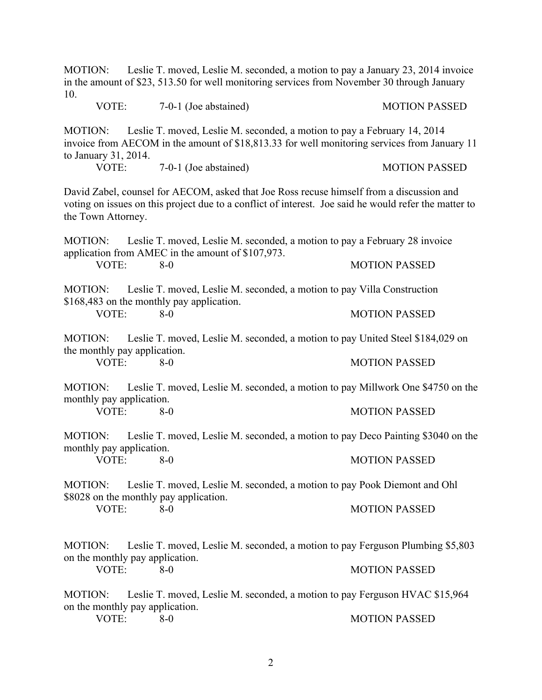| 10.                                                                                                                                                                                                                     |  | MOTION: Leslie T. moved, Leslie M. seconded, a motion to pay a January 23, 2014 invoice<br>in the amount of \$23, 513.50 for well monitoring services from November 30 through January |                      |
|-------------------------------------------------------------------------------------------------------------------------------------------------------------------------------------------------------------------------|--|----------------------------------------------------------------------------------------------------------------------------------------------------------------------------------------|----------------------|
| VOTE:                                                                                                                                                                                                                   |  | 7-0-1 (Joe abstained)                                                                                                                                                                  | <b>MOTION PASSED</b> |
| <b>MOTION:</b><br>to January 31, 2014.                                                                                                                                                                                  |  | Leslie T. moved, Leslie M. seconded, a motion to pay a February 14, 2014<br>invoice from AECOM in the amount of \$18,813.33 for well monitoring services from January 11               |                      |
| VOTE:                                                                                                                                                                                                                   |  | 7-0-1 (Joe abstained)                                                                                                                                                                  | <b>MOTION PASSED</b> |
| David Zabel, counsel for AECOM, asked that Joe Ross recuse himself from a discussion and<br>voting on issues on this project due to a conflict of interest. Joe said he would refer the matter to<br>the Town Attorney. |  |                                                                                                                                                                                        |                      |
| MOTION: Leslie T. moved, Leslie M. seconded, a motion to pay a February 28 invoice<br>application from AMEC in the amount of \$107,973.                                                                                 |  |                                                                                                                                                                                        |                      |
| VOTE:                                                                                                                                                                                                                   |  | $8-0$                                                                                                                                                                                  | <b>MOTION PASSED</b> |
| Leslie T. moved, Leslie M. seconded, a motion to pay Villa Construction<br><b>MOTION:</b><br>\$168,483 on the monthly pay application.                                                                                  |  |                                                                                                                                                                                        |                      |
| VOTE:                                                                                                                                                                                                                   |  | $8-0$                                                                                                                                                                                  | <b>MOTION PASSED</b> |
| the monthly pay application.                                                                                                                                                                                            |  | MOTION: Leslie T. moved, Leslie M. seconded, a motion to pay United Steel \$184,029 on                                                                                                 |                      |
| VOTE:                                                                                                                                                                                                                   |  | $8 - 0$                                                                                                                                                                                | <b>MOTION PASSED</b> |
| <b>MOTION:</b><br>monthly pay application.                                                                                                                                                                              |  | Leslie T. moved, Leslie M. seconded, a motion to pay Millwork One \$4750 on the                                                                                                        |                      |
| VOTE:                                                                                                                                                                                                                   |  | $8-0$                                                                                                                                                                                  | <b>MOTION PASSED</b> |
| <b>MOTION:</b><br>monthly pay application.                                                                                                                                                                              |  | Leslie T. moved, Leslie M. seconded, a motion to pay Deco Painting \$3040 on the                                                                                                       |                      |
| VOTE:                                                                                                                                                                                                                   |  | $8-0$                                                                                                                                                                                  | <b>MOTION PASSED</b> |
| <b>MOTION:</b>                                                                                                                                                                                                          |  | Leslie T. moved, Leslie M. seconded, a motion to pay Pook Diemont and Ohl<br>\$8028 on the monthly pay application.<br>$8-0$                                                           |                      |
| VOTE:                                                                                                                                                                                                                   |  |                                                                                                                                                                                        | <b>MOTION PASSED</b> |
| <b>MOTION:</b>                                                                                                                                                                                                          |  | Leslie T. moved, Leslie M. seconded, a motion to pay Ferguson Plumbing \$5,803                                                                                                         |                      |
| on the monthly pay application.                                                                                                                                                                                         |  |                                                                                                                                                                                        |                      |
| VOTE:                                                                                                                                                                                                                   |  | $8 - 0$                                                                                                                                                                                | <b>MOTION PASSED</b> |
| <b>MOTION:</b><br>on the monthly pay application.                                                                                                                                                                       |  | Leslie T. moved, Leslie M. seconded, a motion to pay Ferguson HVAC \$15,964<br>$8-0$                                                                                                   |                      |
| VOTE:                                                                                                                                                                                                                   |  |                                                                                                                                                                                        | <b>MOTION PASSED</b> |